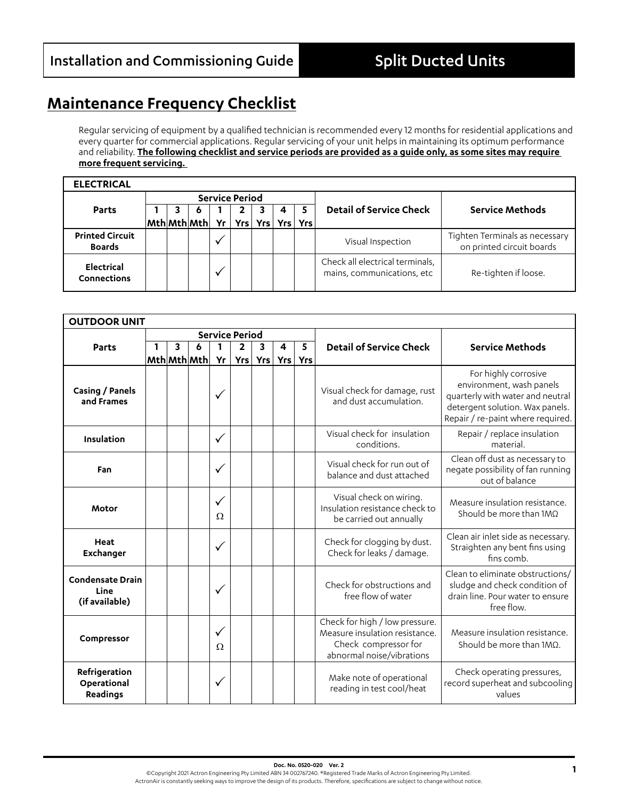## **Maintenance Frequency Checklist**

Regular servicing of equipment by a qualified technician is recommended every 12 months for residential applications and every quarter for commercial applications. Regular servicing of your unit helps in maintaining its optimum performance and reliability. **The following checklist and service periods are provided as a guide only, as some sites may require more frequent servicing.** 

| <b>ELECTRICAL</b>                       |  |                                                       |      |                       |                       |                                                               |                                                             |
|-----------------------------------------|--|-------------------------------------------------------|------|-----------------------|-----------------------|---------------------------------------------------------------|-------------------------------------------------------------|
|                                         |  |                                                       |      | <b>Service Period</b> |                       |                                                               |                                                             |
| <b>Parts</b>                            |  | О                                                     |      |                       |                       | <b>Detail of Service Check</b>                                | <b>Service Methods</b>                                      |
|                                         |  | $\mathsf{Mth}\vert\mathsf{Mth}\vert\mathsf{Mth}\vert$ | Yr l |                       | Yrs   Yrs   Yrs   Yrs |                                                               |                                                             |
| <b>Printed Circuit</b><br><b>Boards</b> |  |                                                       | ν    |                       |                       | Visual Inspection                                             | Tighten Terminals as necessary<br>on printed circuit boards |
| <b>Electrical</b><br>Connections        |  |                                                       | v    |                       |                       | Check all electrical terminals,<br>mains, communications, etc | Re-tighten if loose.                                        |

| <b>OUTDOOR UNIT</b>                               |  |   |             |                          |                       |         |   |         |                                                                                                                       |                                                                                                                                                              |
|---------------------------------------------------|--|---|-------------|--------------------------|-----------------------|---------|---|---------|-----------------------------------------------------------------------------------------------------------------------|--------------------------------------------------------------------------------------------------------------------------------------------------------------|
|                                                   |  |   |             |                          | <b>Service Period</b> |         |   |         |                                                                                                                       |                                                                                                                                                              |
| Parts                                             |  | 3 | 6           | 1                        | $\overline{2}$        | 3       | 4 | 5       | <b>Detail of Service Check</b>                                                                                        | <b>Service Methods</b>                                                                                                                                       |
|                                                   |  |   | Mth Mth Mth | Yr                       |                       | Yrs Yrs |   | Yrs Yrs |                                                                                                                       |                                                                                                                                                              |
| Casing / Panels<br>and Frames                     |  |   |             | $\checkmark$             |                       |         |   |         | Visual check for damage, rust<br>and dust accumulation.                                                               | For highly corrosive<br>environment, wash panels<br>quarterly with water and neutral<br>detergent solution. Wax panels.<br>Repair / re-paint where required. |
| Insulation                                        |  |   |             | $\checkmark$             |                       |         |   |         | Visual check for insulation<br>conditions.                                                                            | Repair / replace insulation<br>material.                                                                                                                     |
| Fan                                               |  |   |             | $\checkmark$             |                       |         |   |         | Visual check for run out of<br>balance and dust attached                                                              | Clean off dust as necessary to<br>negate possibility of fan running<br>out of balance                                                                        |
| <b>Motor</b>                                      |  |   |             | $\checkmark$<br>Ω        |                       |         |   |         | Visual check on wiring.<br>Insulation resistance check to<br>be carried out annually                                  | Measure insulation resistance.<br>Should be more than $1MO$                                                                                                  |
| Heat<br>Exchanger                                 |  |   |             | $\checkmark$             |                       |         |   |         | Check for clogging by dust.<br>Check for leaks / damage.                                                              | Clean air inlet side as necessary.<br>Straighten any bent fins using<br>fins comb.                                                                           |
| <b>Condensate Drain</b><br>Line<br>(if available) |  |   |             | √                        |                       |         |   |         | Check for obstructions and<br>free flow of water                                                                      | Clean to eliminate obstructions/<br>sludge and check condition of<br>drain line. Pour water to ensure<br>free flow.                                          |
| Compressor                                        |  |   |             | $\checkmark$<br>$\Omega$ |                       |         |   |         | Check for high / low pressure.<br>Measure insulation resistance.<br>Check compressor for<br>abnormal noise/vibrations | Measure insulation resistance.<br>Should be more than $1M\Omega$ .                                                                                           |
| Refrigeration<br>Operational<br>Readings          |  |   |             | ✓                        |                       |         |   |         | Make note of operational<br>reading in test cool/heat                                                                 | Check operating pressures,<br>record superheat and subcooling<br>values                                                                                      |